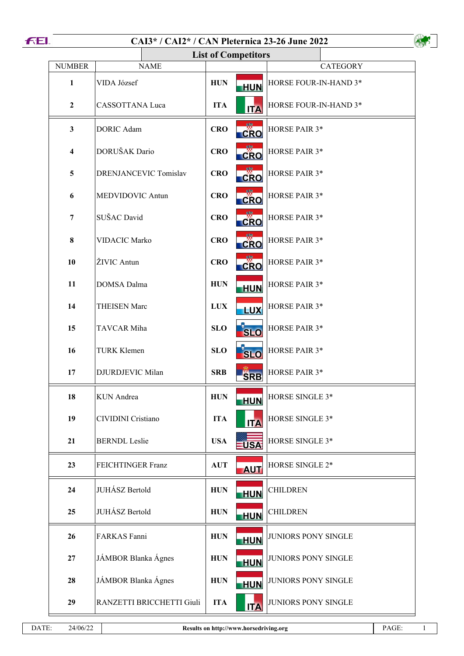| <b>FEI.</b> |                         | CAI3* / CAI2* / CAN Pleternica 23-26 June 2022 |            |                           |                            |  |
|-------------|-------------------------|------------------------------------------------|------------|---------------------------|----------------------------|--|
|             |                         | <b>List of Competitors</b>                     |            |                           |                            |  |
|             | <b>NUMBER</b>           | <b>NAME</b>                                    |            |                           | <b>CATEGORY</b>            |  |
|             | 1                       | VIDA József                                    | <b>HUN</b> | <b>HUN</b>                | HORSE FOUR-IN-HAND 3*      |  |
|             | $\boldsymbol{2}$        | CASSOTTANA Luca                                | <b>ITA</b> | <b>ITA</b>                | HORSE FOUR-IN-HAND 3*      |  |
|             | $\mathbf{3}$            | <b>DORIC Adam</b>                              | CRO        | <b>CRO</b>                | HORSE PAIR 3*              |  |
|             | $\overline{\mathbf{4}}$ | DORUŠAK Dario                                  | <b>CRO</b> | $c_{\mathsf{RO}}$         | HORSE PAIR 3*              |  |
|             | 5                       | DRENJANCEVIC Tomislav                          | <b>CRO</b> | <b>CRO</b>                | HORSE PAIR 3*              |  |
|             | 6                       | MEDVIDOVIC Antun                               | <b>CRO</b> | CRO                       | HORSE PAIR 3*              |  |
|             | 7                       | SUŠAC David                                    | <b>CRO</b> | CRO                       | HORSE PAIR 3*              |  |
|             | 8                       | <b>VIDACIC Marko</b>                           | <b>CRO</b> | <b>CRO</b>                | HORSE PAIR 3*              |  |
|             | 10                      | ŽIVIC Antun                                    | <b>CRO</b> | $\overline{\text{CRO}}$   | HORSE PAIR 3*              |  |
|             | 11                      | DOMSA Dalma                                    | <b>HUN</b> | <b>HUN</b>                | HORSE PAIR 3*              |  |
|             | 14                      | <b>THEISEN Marc</b>                            | <b>LUX</b> | <b>LUX</b>                | HORSE PAIR 3*              |  |
|             | 15                      | TAVCAR Miha                                    | <b>SLO</b> | <b>SLO</b>                | HORSE PAIR 3*              |  |
|             | 16                      | <b>TURK Klemen</b>                             | <b>SLO</b> | $\overline{\mathbf{SLO}}$ | HORSE PAIR 3*              |  |
|             | 17                      | DJURDJEVIC Milan                               | <b>SRB</b> | <b>SRB</b>                | HORSE PAIR 3*              |  |
|             | 18                      | <b>KUN</b> Andrea                              | <b>HUN</b> | <b>HUN</b>                | HORSE SINGLE 3*            |  |
|             | 19                      | CIVIDINI Cristiano                             | <b>ITA</b> | <b>ITA</b>                | HORSE SINGLE 3*            |  |
|             | 21                      | <b>BERNDL</b> Leslie                           | <b>USA</b> | <b>USA</b>                | HORSE SINGLE 3*            |  |
|             | 23                      | FEICHTINGER Franz                              | <b>AUT</b> | <b>AUT</b>                | HORSE SINGLE 2*            |  |
|             | 24                      | JUHÁSZ Bertold                                 | <b>HUN</b> | <b>HUN</b>                | <b>CHILDREN</b>            |  |
|             | 25                      | JUHÁSZ Bertold                                 | <b>HUN</b> | <b>HUN</b>                | <b>CHILDREN</b>            |  |
|             | 26                      | FARKAS Fanni                                   | <b>HUN</b> | HUN                       | JUNIORS PONY SINGLE        |  |
|             | 27                      | JÁMBOR Blanka Ágnes                            | <b>HUN</b> | <b>HUN</b>                | JUNIORS PONY SINGLE        |  |
|             | 28                      | JÁMBOR Blanka Ágnes                            | <b>HUN</b> | <b>HUN</b>                | JUNIORS PONY SINGLE        |  |
|             | 29                      | RANZETTI BRICCHETTI Giuli                      | <b>ITA</b> | <b>ITA</b>                | <b>JUNIORS PONY SINGLE</b> |  |